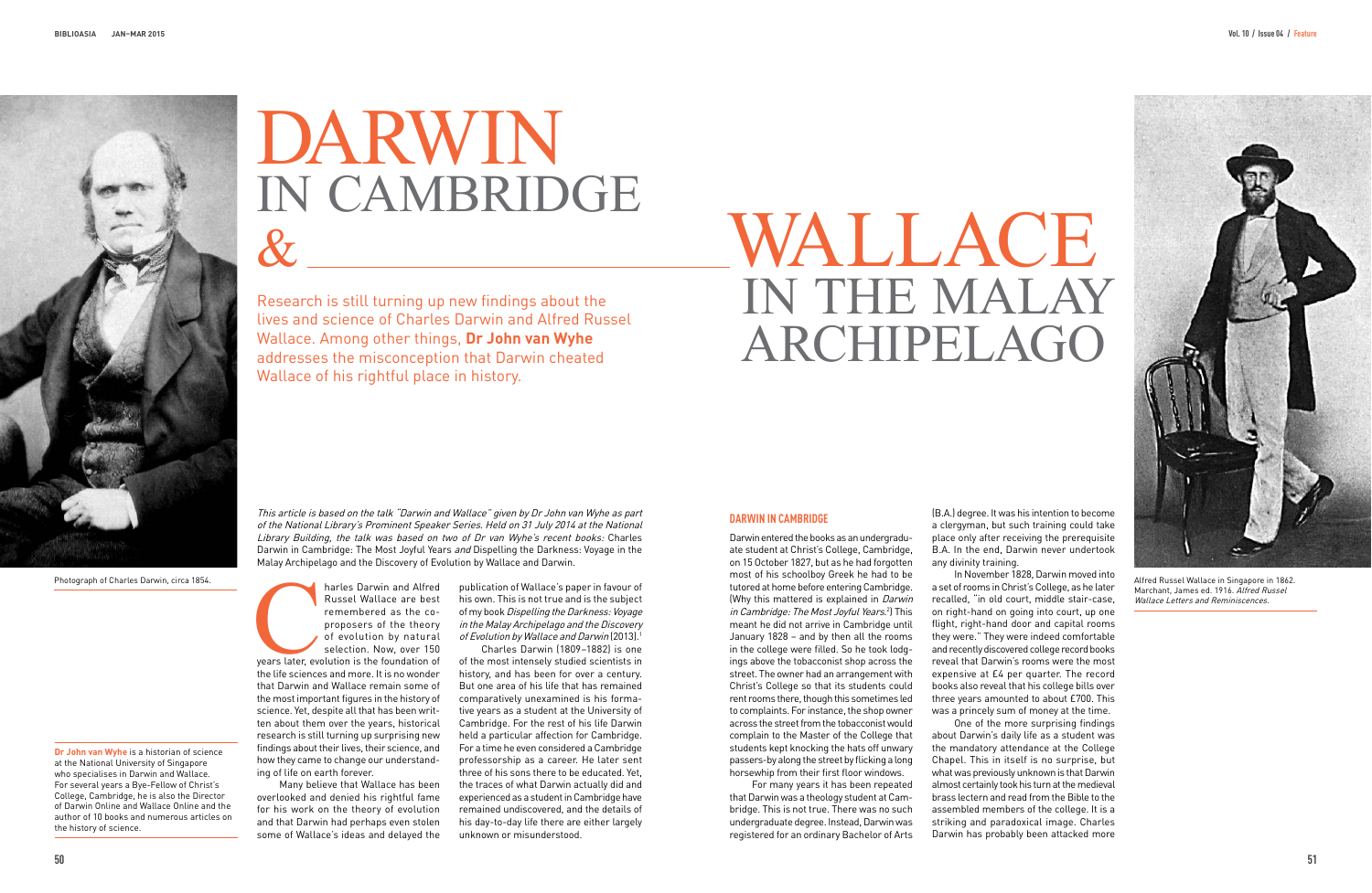Research is still turning up new findings about the lives and science of Charles Darwin and Alfred Russel Wallace. Among other things, **Dr John van Wyhe** addresses the misconception that Darwin cheated Wallace of his rightful place in history.

This article is based on the talk "Darwin and Wallace" given by Dr John van Wyhe as part of the National Library's Prominent Speaker Series. Held on 31 July 2014 at the National Library Building, the talk was based on two of Dr van Wyhe's recent books: Charles Darwin in Cambridge: The Most Joyful Years and Dispelling the Darkness: Voyage in the Malay Archipelago and the Discovery of Evolution by Wallace and Darwin.

harles Darwin and Alfred<br>
Russel Wallace are best<br>
remembered as the co-<br>
proposers of the theory<br>
of evolution by natural<br>
selection. Now, over 150<br>
years later, evolution is the foundation of<br>
the life sciences and more. Russel Wallace are best remembered as the coproposers of the theory of evolution by natural selection. Now, over 150 years later, evolution is the foundation of the life sciences and more. It is no wonder that Darwin and Wallace remain some of the most important figures in the history of science. Yet, despite all that has been written about them over the years, historical research is still turning up surprising new findings about their lives, their science, and how they came to change our understanding of life on earth forever.

publication of Wallace's paper in favour of his own. This is not true and is the subject of my book Dispelling the Darkness: Voyage in the Malay Archipelago and the Discovery of Evolution by Wallace and Darwin (2013).<sup>1</sup>

Many believe that Wallace has been overlooked and denied his rightful fame for his work on the theory of evolution and that Darwin had perhaps even stolen some of Wallace's ideas and delayed the

# WALLACE<br>IN THE MALAY ARCHIPELAGO

Charles Darwin (1809–1882) is one of the most intensely studied scientists in history, and has been for over a century. But one area of his life that has remained comparatively unexamined is his formative years as a student at the University of Cambridge. For the rest of his life Darwin held a particular affection for Cambridge. For a time he even considered a Cambridge professorship as a career. He later sent three of his sons there to be educated. Yet, the traces of what Darwin actually did and experienced as a student in Cambridge have remained undiscovered, and the details of his day-to-day life there are either largely unknown or misunderstood.

**Dr John van Wyhe** is a historian of science at the National University of Singapore who specialises in Darwin and Wallace. For several years a Bye-Fellow of Christ's College, Cambridge, he is also the Director of Darwin Online and Wallace Online and the author of 10 books and numerous articles on the history of science.

## **dArWin in cAMBridGe**

Darwin entered the books as an undergraduate student at Christ's College, Cambridge, on 15 October 1827, but as he had forgotten most of his schoolboy Greek he had to be tutored at home before entering Cambridge. (Why this mattered is explained in Darwin *in Cambridge: The Most Joyful Years.*?) This meant he did not arrive in Cambridge until January 1828 – and by then all the rooms in the college were filled. So he took lodgings above the tobacconist shop across the street. The owner had an arrangement with Christ's College so that its students could rent rooms there, though this sometimes led to complaints. For instance, the shop owner across the street from the tobacconist would complain to the Master of the College that students kept knocking the hats off unwary passers-by along the street by flicking a long horsewhip from their first floor windows.

For many years it has been repeated that Darwin was a theology student at Cambridge. This is not true. There was no such undergraduate degree. Instead, Darwin was registered for an ordinary Bachelor of Arts

(B.A.) degree. It was his intention to become a clergyman, but such training could take place only after receiving the prerequisite B.A. In the end, Darwin never undertook any divinity training.

In November 1828, Darwin moved into a set of rooms in Christ's College, as he later recalled, "in old court, middle stair-case, on right-hand on going into court, up one flight, right-hand door and capital rooms they were." They were indeed comfortable and recently discovered college record books reveal that Darwin's rooms were the most expensive at £4 per quarter. The record books also reveal that his college bills over three years amounted to about £700. This was a princely sum of money at the time.

One of the more surprising findings about Darwin's daily life as a student was the mandatory attendance at the College Chapel. This in itself is no surprise, but what was previously unknown is that Darwin almost certainly took his turn at the medieval brass lectern and read from the Bible to the assembled members of the college. It is a striking and paradoxical image. Charles Darwin has probably been attacked more



Alfred Russel Wallace in Singapore in 1862. Marchant, James ed. 1916. Alfred Russel Wallace Letters and Reminiscences.

Photograph of Charles Darwin, circa 1854.



# DARWIN<br>IN CAMBRIDGE  $\&$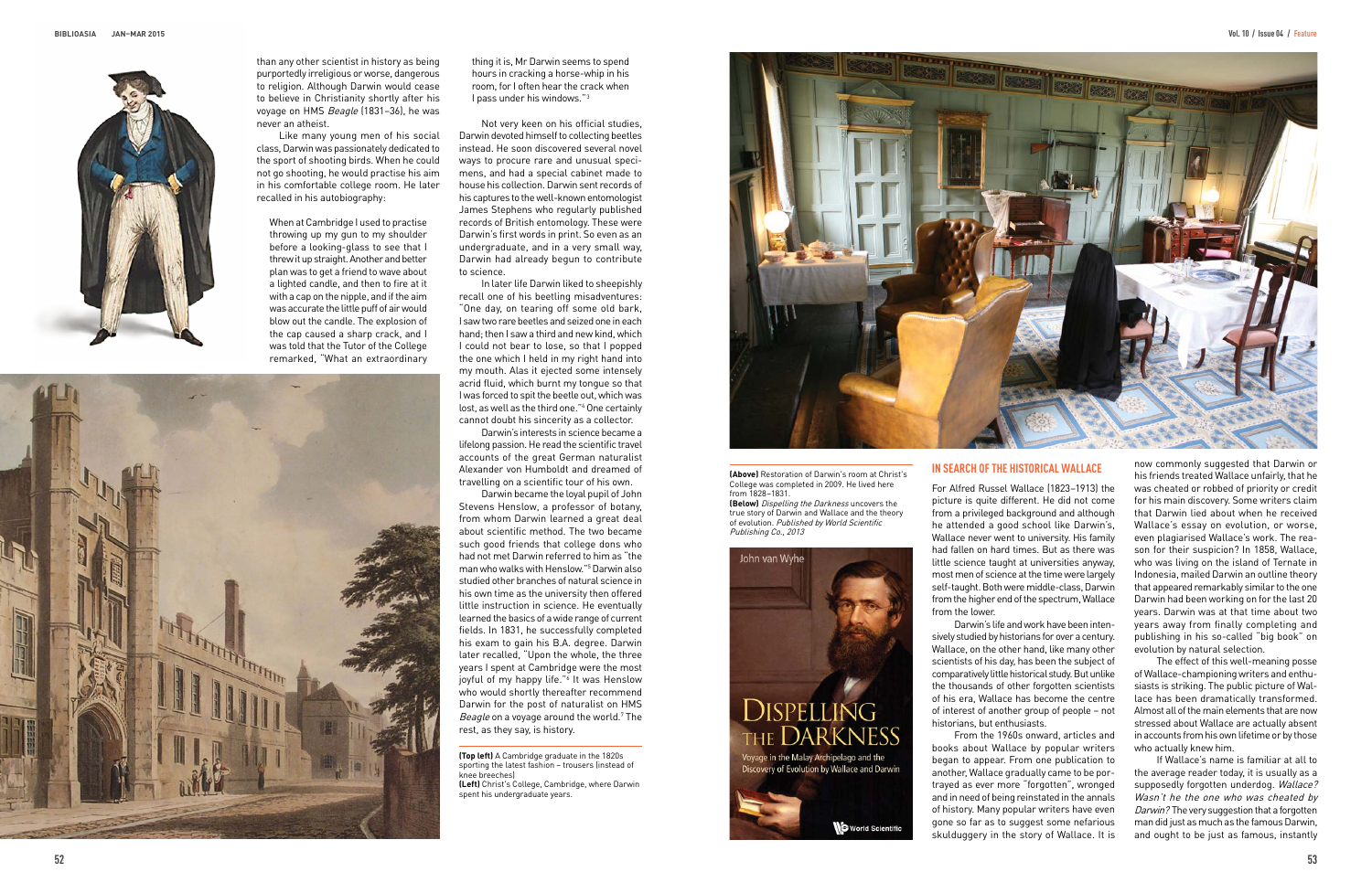than any other scientist in history as being purportedly irreligious or worse, dangerous to religion. Although Darwin would cease to believe in Christianity shortly after his voyage on HMS Beagle (1831–36), he was never an atheist.

Like many young men of his social class, Darwin was passionately dedicated to the sport of shooting birds. When he could not go shooting, he would practise his aim in his comfortable college room. He later recalled in his autobiography:

When at Cambridge I used to practise throwing up my gun to my shoulder before a looking-glass to see that I threw it up straight. Another and better plan was to get a friend to wave about a lighted candle, and then to fire at it with a cap on the nipple, and if the aim was accurate the little puff of air would blow out the candle. The explosion of the cap caused a sharp crack, and I was told that the Tutor of the College remarked, "What an extraordinary



thing it is, Mr Darwin seems to spend hours in cracking a horse-whip in his room, for I often hear the crack when I pass under his windows."3

Not very keen on his official studies, Darwin devoted himself to collecting beetles instead. He soon discovered several novel ways to procure rare and unusual specimens, and had a special cabinet made to house his collection. Darwin sent records of his captures to the well-known entomologist James Stephens who regularly published records of British entomology. These were Darwin's first words in print. So even as an undergraduate, and in a very small way, Darwin had already begun to contribute to science.

In later life Darwin liked to sheepishly recall one of his beetling misadventures: "One day, on tearing off some old bark, I saw two rare beetles and seized one in each hand; then I saw a third and new kind, which I could not bear to lose, so that I popped the one which I held in my right hand into my mouth. Alas it ejected some intensely acrid fluid, which burnt my tongue so that I was forced to spit the beetle out, which was lost, as well as the third one."<sup>4</sup> One certainly cannot doubt his sincerity as a collector.

Darwin's interests in science became a lifelong passion. He read the scientific travel accounts of the great German naturalist Alexander von Humboldt and dreamed of travelling on a scientific tour of his own.

Darwin became the loyal pupil of John Stevens Henslow, a professor of botany, from whom Darwin learned a great deal about scientific method. The two became such good friends that college dons who had not met Darwin referred to him as "the man who walks with Henslow."5 Darwin also studied other branches of natural science in his own time as the university then offered little instruction in science. He eventually learned the basics of a wide range of current fields. In 1831, he successfully completed his exam to gain his B.A. degree. Darwin later recalled, "Upon the whole, the three years I spent at Cambridge were the most joyful of my happy life."<sup>6</sup> It was Henslow who would shortly thereafter recommend Darwin for the post of naturalist on HMS *Beagle* on a voyage around the world.<sup>7</sup> The rest, as they say, is history.

# **in SeArch ofthe hiStoricAL WALLAce**

For Alfred Russel Wallace (1823–1913) the picture is quite different. He did not come from a privileged background and although he attended a good school like Darwin's, Wallace never went to university. His family had fallen on hard times. But as there was little science taught at universities anyway, most men of science at the time were largely self-taught. Both were middle-class, Darwin from the higher end of the spectrum, Wallace

from the lower.

Darwin's life and work have been intensively studied by historians for over a century. Wallace, on the other hand, like many other scientists of his day, has been the subject of comparatively little historical study. But unlike the thousands of other forgotten scientists of his era, Wallace has become the centre of interest of another group of people – not historians, but enthusiasts.

From the 1960s onward, articles and books about Wallace by popular writers began to appear. From one publication to another, Wallace gradually came to be portrayed as ever more "forgotten", wronged and in need of being reinstated in the annals of history. Many popular writers have even gone so far as to suggest some nefarious skulduggery in the story of Wallace. It is

**(Top left)** A Cambridge graduate in the 1820s sporting the latest fashion – trousers (instead of knee breeches) **(Left)** Christ's College, Cambridge, where Darwin

spent his undergraduate years.



**(Above)** Restoration of Darwin's room at Christ's College was completed in 2009. He lived here from 1828–1831.

**(Below)** Dispelling the Darkness uncovers the true story of Darwin and Wallace and the theory of evolution. Published by World Scientific Publishing Co., 2013

John van Wyhe



Voyage in the Malay Archipelago and the<br>Discovery of Evolution by Wallace and Darwin



now commonly suggested that Darwin or his friends treated Wallace unfairly, that he was cheated or robbed of priority or credit for his main discovery. Some writers claim that Darwin lied about when he received Wallace's essay on evolution, or worse, even plagiarised Wallace's work. The reason for their suspicion? In 1858, Wallace, who was living on the island of Ternate in Indonesia, mailed Darwin an outline theory that appeared remarkably similar to the one Darwin had been working on for the last 20 years. Darwin was at that time about two years away from finally completing and publishing in his so-called "big book" on evolution by natural selection.

The effect of this well-meaning posse of Wallace-championing writers and enthusiasts is striking. The public picture of Wallace has been dramatically transformed. Almost all of the main elements that are now stressed about Wallace are actually absent in accounts from his own lifetime or by those who actually knew him.

If Wallace's name is familiar at all to the average reader today, it is usually as a supposedly forgotten underdog. Wallace? Wasn't he the one who was cheated by Darwin? The very suggestion that a forgotten man did just as much as the famous Darwin, and ought to be just as famous, instantly